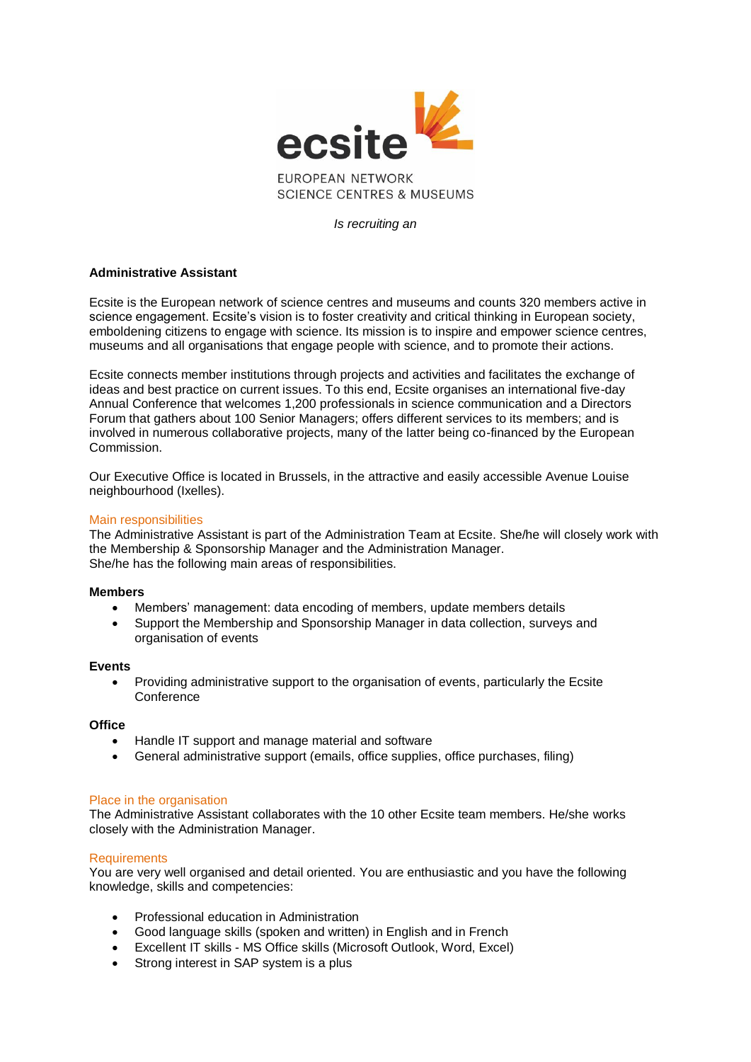

**SCIENCE CENTRES & MUSEUMS** 

*Is recruiting an*

## **Administrative Assistant**

Ecsite is the European network of science centres and museums and counts 320 members active in science engagement. Ecsite's vision is to foster creativity and critical thinking in European society, emboldening citizens to engage with science. Its mission is to inspire and empower science centres, museums and all organisations that engage people with science, and to promote their actions.

Ecsite connects member institutions through projects and activities and facilitates the exchange of ideas and best practice on current issues. To this end, Ecsite organises an international five-day Annual Conference that welcomes 1,200 professionals in science communication and a Directors Forum that gathers about 100 Senior Managers; offers different services to its members; and is involved in numerous collaborative projects, many of the latter being co-financed by the European Commission.

Our Executive Office is located in Brussels, in the attractive and easily accessible Avenue Louise neighbourhood (Ixelles).

## Main responsibilities

The Administrative Assistant is part of the Administration Team at Ecsite. She/he will closely work with the Membership & Sponsorship Manager and the Administration Manager. She/he has the following main areas of responsibilities.

## **Members**

- Members' management: data encoding of members, update members details
- Support the Membership and Sponsorship Manager in data collection, surveys and organisation of events

# **Events**

 Providing administrative support to the organisation of events, particularly the Ecsite **Conference** 

## **Office**

- Handle IT support and manage material and software
- General administrative support (emails, office supplies, office purchases, filing)

## Place in the organisation

The Administrative Assistant collaborates with the 10 other Ecsite team members. He/she works closely with the Administration Manager.

## **Requirements**

You are very well organised and detail oriented. You are enthusiastic and you have the following knowledge, skills and competencies:

- Professional education in Administration
- Good language skills (spoken and written) in English and in French
- Excellent IT skills MS Office skills (Microsoft Outlook, Word, Excel)
- Strong interest in SAP system is a plus